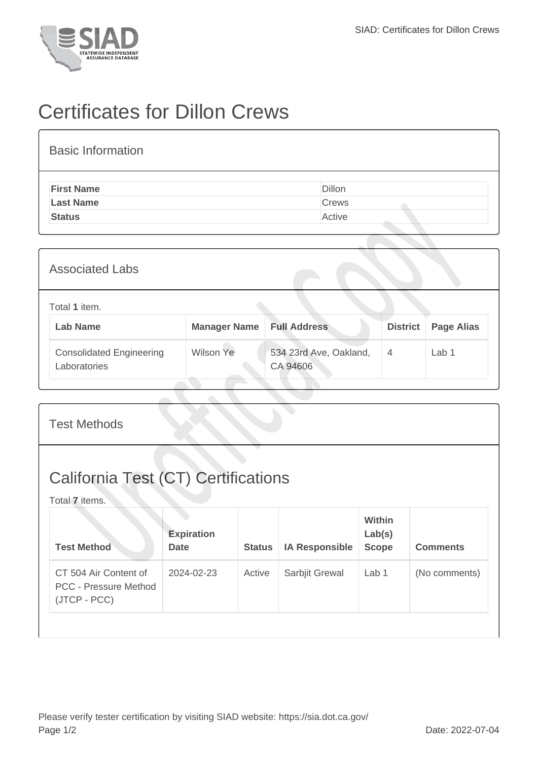

## Certificates for Dillon Crews

| <b>Basic Information</b> |        |
|--------------------------|--------|
| <b>First Name</b>        | Dillon |
| <b>Last Name</b>         | Crews  |
| <b>Status</b>            | Active |

| <b>Associated Labs</b>                          |                     |                                    |                 |                   |
|-------------------------------------------------|---------------------|------------------------------------|-----------------|-------------------|
| Total 1 item.<br><b>Lab Name</b>                | <b>Manager Name</b> | <b>Full Address</b>                | <b>District</b> | <b>Page Alias</b> |
| <b>Consolidated Engineering</b><br>Laboratories | Wilson Ye           | 534 23rd Ave, Oakland,<br>CA 94606 | $\overline{4}$  | Lab 1             |

| <b>Test Methods</b>                                                   |                                  |               |                       |                                         |                 |
|-----------------------------------------------------------------------|----------------------------------|---------------|-----------------------|-----------------------------------------|-----------------|
| <b>California Test (CT) Certifications</b><br>Total 7 items.          |                                  |               |                       |                                         |                 |
| <b>Test Method</b>                                                    | <b>Expiration</b><br><b>Date</b> | <b>Status</b> | <b>IA Responsible</b> | <b>Within</b><br>Lab(s)<br><b>Scope</b> | <b>Comments</b> |
| CT 504 Air Content of<br><b>PCC - Pressure Method</b><br>(JTCP - PCC) | 2024-02-23                       | Active        | Sarbjit Grewal        | Lab 1                                   | (No comments)   |
|                                                                       |                                  |               |                       |                                         |                 |